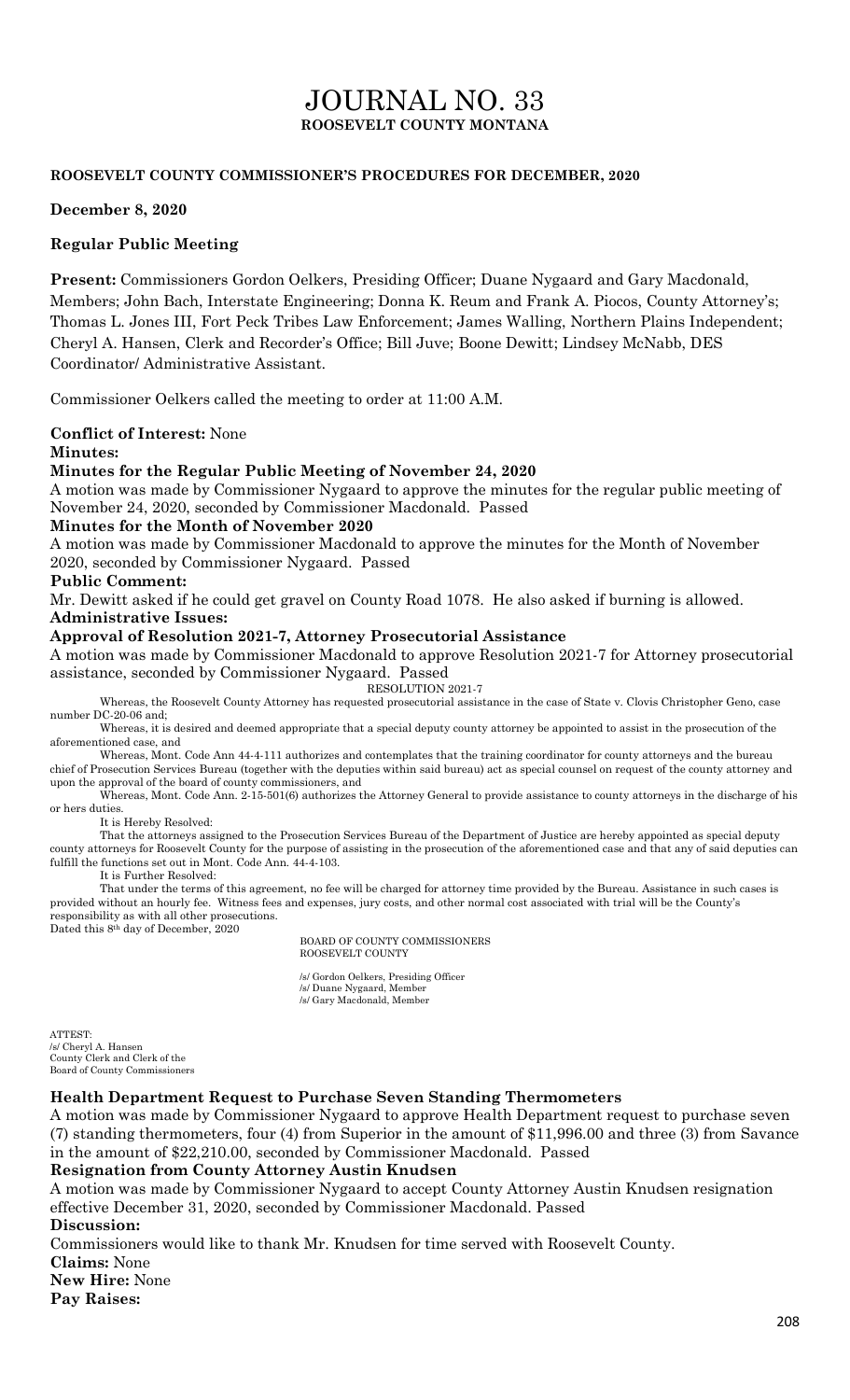# JOURNAL NO. 33 **ROOSEVELT COUNTY MONTANA**

#### **ROOSEVELT COUNTY COMMISSIONER'S PROCEDURES FOR DECEMBER, 2020**

#### **December 8, 2020**

### **Regular Public Meeting**

**Present:** Commissioners Gordon Oelkers, Presiding Officer; Duane Nygaard and Gary Macdonald, Members; John Bach, Interstate Engineering; Donna K. Reum and Frank A. Piocos, County Attorney's; Thomas L. Jones III, Fort Peck Tribes Law Enforcement; James Walling, Northern Plains Independent; Cheryl A. Hansen, Clerk and Recorder's Office; Bill Juve; Boone Dewitt; Lindsey McNabb, DES Coordinator/ Administrative Assistant.

Commissioner Oelkers called the meeting to order at 11:00 A.M.

## **Conflict of Interest:** None

#### **Minutes:**

#### **Minutes for the Regular Public Meeting of November 24, 2020**

A motion was made by Commissioner Nygaard to approve the minutes for the regular public meeting of November 24, 2020, seconded by Commissioner Macdonald. Passed

#### **Minutes for the Month of November 2020**

A motion was made by Commissioner Macdonald to approve the minutes for the Month of November 2020, seconded by Commissioner Nygaard. Passed

#### **Public Comment:**

Mr. Dewitt asked if he could get gravel on County Road 1078. He also asked if burning is allowed. **Administrative Issues:**

#### **Approval of Resolution 2021-7, Attorney Prosecutorial Assistance**

A motion was made by Commissioner Macdonald to approve Resolution 2021-7 for Attorney prosecutorial assistance, seconded by Commissioner Nygaard. Passed

RESOLUTION 2021-7

Whereas, the Roosevelt County Attorney has requested prosecutorial assistance in the case of State v. Clovis Christopher Geno, case number DC-20-06 and;

Whereas, it is desired and deemed appropriate that a special deputy county attorney be appointed to assist in the prosecution of the aforementioned case, and

Whereas, Mont. Code Ann 44-4-111 authorizes and contemplates that the training coordinator for county attorneys and the bureau chief of Prosecution Services Bureau (together with the deputies within said bureau) act as special counsel on request of the county attorney and upon the approval of the board of county commissioners, and

Whereas, Mont. Code Ann. 2-15-501(6) authorizes the Attorney General to provide assistance to county attorneys in the discharge of his or hers duties.

#### It is Hereby Resolved:

That the attorneys assigned to the Prosecution Services Bureau of the Department of Justice are hereby appointed as special deputy county attorneys for Roosevelt County for the purpose of assisting in the prosecution of the aforementioned case and that any of said deputies can fulfill the functions set out in Mont. Code Ann. 44-4-103.

It is Further Resolved:

That under the terms of this agreement, no fee will be charged for attorney time provided by the Bureau. Assistance in such cases is provided without an hourly fee. Witness fees and expenses, jury costs, and other normal cost associated with trial will be the County's responsibility as with all other prosecutions. Dated this 8th day of December, 2020

BOARD OF COUNTY COMMISSIONERS ROOSEVELT COUNTY

/s/ Gordon Oelkers, Presiding Officer /s/ Duane Nygaard, Member /s/ Gary Macdonald, Member

ATTEST: /s/ Cheryl A. Hansen County Clerk and Clerk of the Board of County Commissioners

#### **Health Department Request to Purchase Seven Standing Thermometers**

A motion was made by Commissioner Nygaard to approve Health Department request to purchase seven (7) standing thermometers, four (4) from Superior in the amount of \$11,996.00 and three (3) from Savance in the amount of \$22,210.00, seconded by Commissioner Macdonald. Passed

#### **Resignation from County Attorney Austin Knudsen**

A motion was made by Commissioner Nygaard to accept County Attorney Austin Knudsen resignation effective December 31, 2020, seconded by Commissioner Macdonald. Passed **Discussion:**

Commissioners would like to thank Mr. Knudsen for time served with Roosevelt County.

**Claims:** None

**New Hire:** None

**Pay Raises:**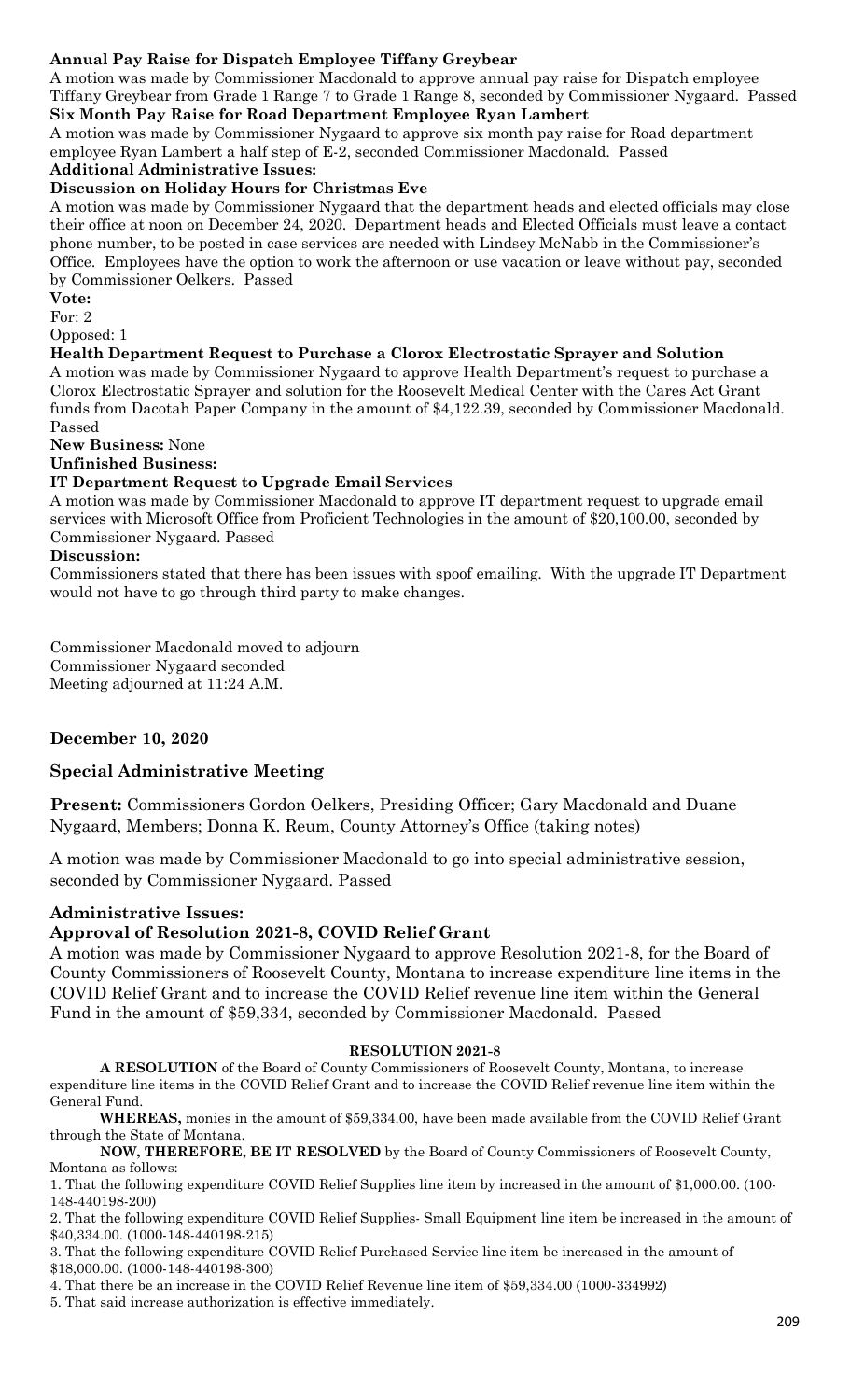## **Annual Pay Raise for Dispatch Employee Tiffany Greybear**

A motion was made by Commissioner Macdonald to approve annual pay raise for Dispatch employee Tiffany Greybear from Grade 1 Range 7 to Grade 1 Range 8, seconded by Commissioner Nygaard. Passed **Six Month Pay Raise for Road Department Employee Ryan Lambert**

A motion was made by Commissioner Nygaard to approve six month pay raise for Road department employee Ryan Lambert a half step of E-2, seconded Commissioner Macdonald. Passed **Additional Administrative Issues:**

# **Discussion on Holiday Hours for Christmas Eve**

A motion was made by Commissioner Nygaard that the department heads and elected officials may close their office at noon on December 24, 2020. Department heads and Elected Officials must leave a contact phone number, to be posted in case services are needed with Lindsey McNabb in the Commissioner's Office. Employees have the option to work the afternoon or use vacation or leave without pay, seconded by Commissioner Oelkers. Passed

**Vote:**

For: 2

Opposed: 1

#### **Health Department Request to Purchase a Clorox Electrostatic Sprayer and Solution**

A motion was made by Commissioner Nygaard to approve Health Department's request to purchase a Clorox Electrostatic Sprayer and solution for the Roosevelt Medical Center with the Cares Act Grant funds from Dacotah Paper Company in the amount of \$4,122.39, seconded by Commissioner Macdonald. Passed

**New Business:** None

## **Unfinished Business:**

#### **IT Department Request to Upgrade Email Services**

A motion was made by Commissioner Macdonald to approve IT department request to upgrade email services with Microsoft Office from Proficient Technologies in the amount of \$20,100.00, seconded by Commissioner Nygaard. Passed

#### **Discussion:**

Commissioners stated that there has been issues with spoof emailing. With the upgrade IT Department would not have to go through third party to make changes.

Commissioner Macdonald moved to adjourn Commissioner Nygaard seconded Meeting adjourned at 11:24 A.M.

## **December 10, 2020**

## **Special Administrative Meeting**

**Present:** Commissioners Gordon Oelkers, Presiding Officer; Gary Macdonald and Duane Nygaard, Members; Donna K. Reum, County Attorney's Office (taking notes)

A motion was made by Commissioner Macdonald to go into special administrative session, seconded by Commissioner Nygaard. Passed

## **Administrative Issues:**

## **Approval of Resolution 2021-8, COVID Relief Grant**

A motion was made by Commissioner Nygaard to approve Resolution 2021-8, for the Board of County Commissioners of Roosevelt County, Montana to increase expenditure line items in the COVID Relief Grant and to increase the COVID Relief revenue line item within the General Fund in the amount of \$59,334, seconded by Commissioner Macdonald. Passed

#### **RESOLUTION 2021-8**

**A RESOLUTION** of the Board of County Commissioners of Roosevelt County, Montana, to increase expenditure line items in the COVID Relief Grant and to increase the COVID Relief revenue line item within the General Fund.

**WHEREAS,** monies in the amount of \$59,334.00, have been made available from the COVID Relief Grant through the State of Montana.

**NOW, THEREFORE, BE IT RESOLVED** by the Board of County Commissioners of Roosevelt County, Montana as follows:

1. That the following expenditure COVID Relief Supplies line item by increased in the amount of \$1,000.00. (100- 148-440198-200)

2. That the following expenditure COVID Relief Supplies- Small Equipment line item be increased in the amount of \$40,334.00. (1000-148-440198-215)

3. That the following expenditure COVID Relief Purchased Service line item be increased in the amount of \$18,000.00. (1000-148-440198-300)

4. That there be an increase in the COVID Relief Revenue line item of \$59,334.00 (1000-334992)

5. That said increase authorization is effective immediately.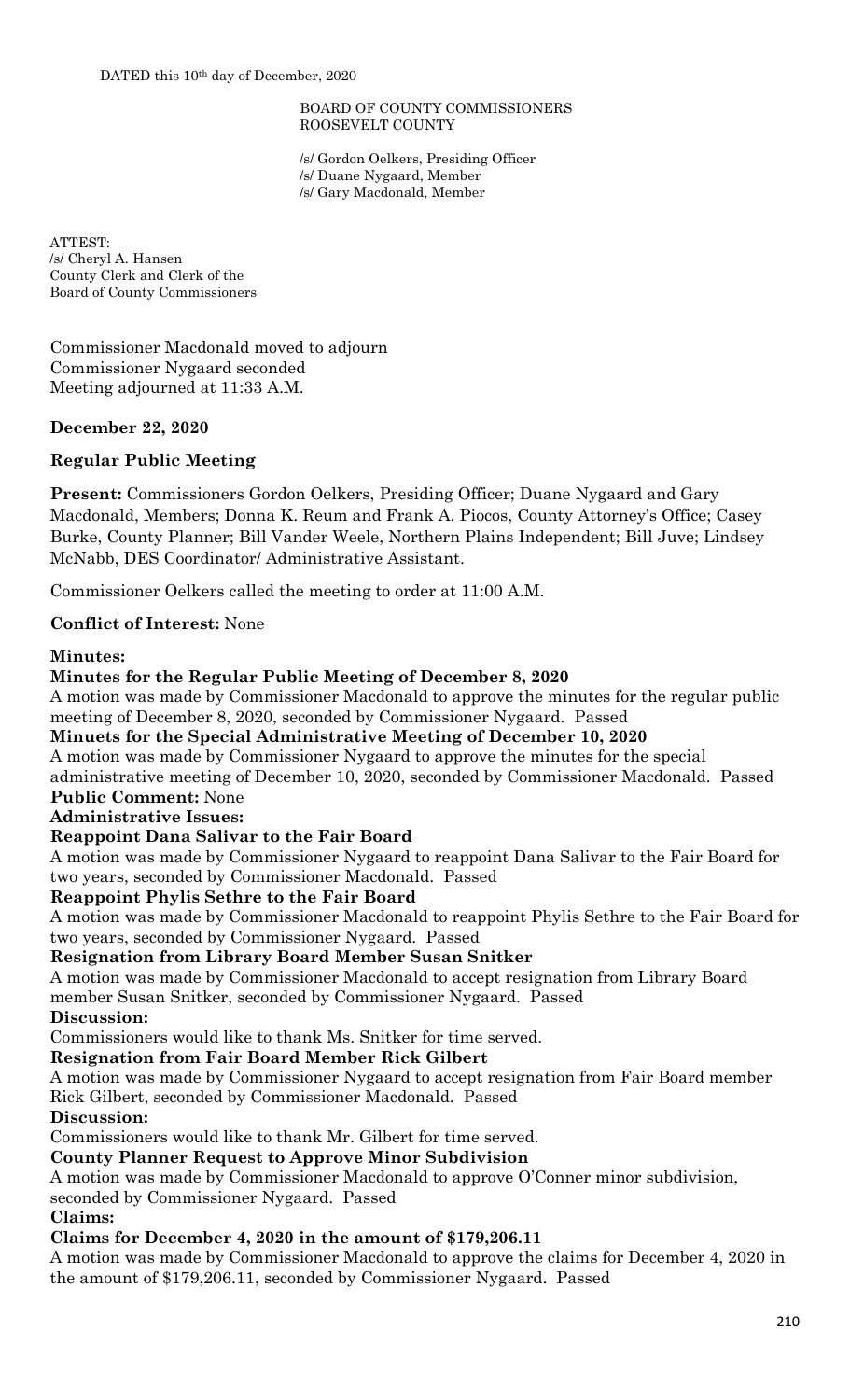#### BOARD OF COUNTY COMMISSIONERS ROOSEVELT COUNTY

/s/ Gordon Oelkers, Presiding Officer /s/ Duane Nygaard, Member /s/ Gary Macdonald, Member

ATTEST: /s/ Cheryl A. Hansen County Clerk and Clerk of the Board of County Commissioners

Commissioner Macdonald moved to adjourn Commissioner Nygaard seconded Meeting adjourned at 11:33 A.M.

## **December 22, 2020**

## **Regular Public Meeting**

**Present:** Commissioners Gordon Oelkers, Presiding Officer; Duane Nygaard and Gary Macdonald, Members; Donna K. Reum and Frank A. Piocos, County Attorney's Office; Casey Burke, County Planner; Bill Vander Weele, Northern Plains Independent; Bill Juve; Lindsey McNabb, DES Coordinator/ Administrative Assistant.

Commissioner Oelkers called the meeting to order at 11:00 A.M.

## **Conflict of Interest:** None

## **Minutes:**

## **Minutes for the Regular Public Meeting of December 8, 2020**

A motion was made by Commissioner Macdonald to approve the minutes for the regular public meeting of December 8, 2020, seconded by Commissioner Nygaard. Passed

**Minuets for the Special Administrative Meeting of December 10, 2020** 

A motion was made by Commissioner Nygaard to approve the minutes for the special

administrative meeting of December 10, 2020, seconded by Commissioner Macdonald. Passed **Public Comment:** None

**Administrative Issues:**

## **Reappoint Dana Salivar to the Fair Board**

A motion was made by Commissioner Nygaard to reappoint Dana Salivar to the Fair Board for two years, seconded by Commissioner Macdonald. Passed

## **Reappoint Phylis Sethre to the Fair Board**

A motion was made by Commissioner Macdonald to reappoint Phylis Sethre to the Fair Board for two years, seconded by Commissioner Nygaard. Passed

## **Resignation from Library Board Member Susan Snitker**

A motion was made by Commissioner Macdonald to accept resignation from Library Board member Susan Snitker, seconded by Commissioner Nygaard. Passed

## **Discussion:**

Commissioners would like to thank Ms. Snitker for time served.

## **Resignation from Fair Board Member Rick Gilbert**

A motion was made by Commissioner Nygaard to accept resignation from Fair Board member Rick Gilbert, seconded by Commissioner Macdonald. Passed

## **Discussion:**

Commissioners would like to thank Mr. Gilbert for time served.

## **County Planner Request to Approve Minor Subdivision**

A motion was made by Commissioner Macdonald to approve O'Conner minor subdivision,

seconded by Commissioner Nygaard. Passed

## **Claims:**

## **Claims for December 4, 2020 in the amount of \$179,206.11**

A motion was made by Commissioner Macdonald to approve the claims for December 4, 2020 in the amount of \$179,206.11, seconded by Commissioner Nygaard. Passed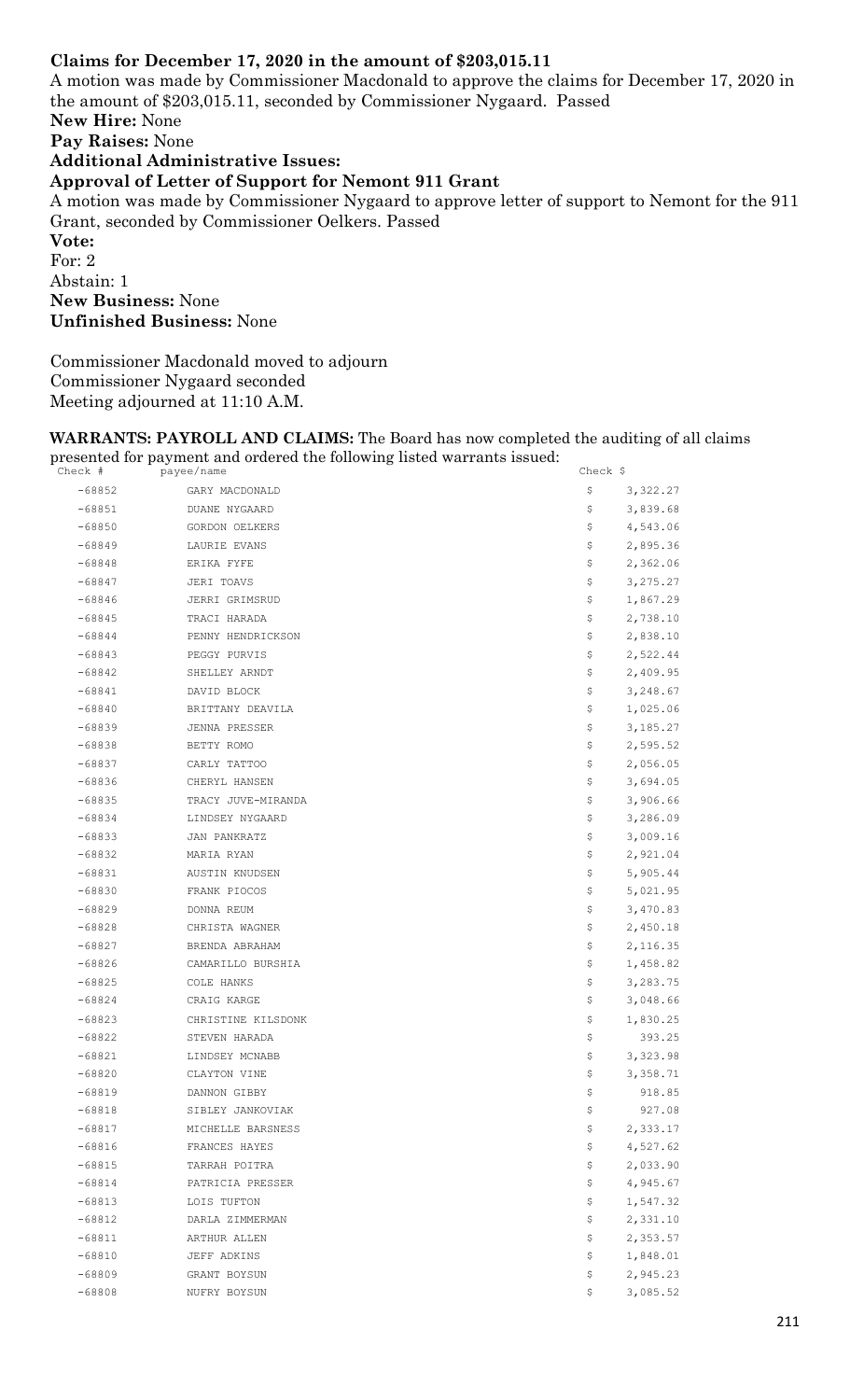## **Claims for December 17, 2020 in the amount of \$203,015.11**

A motion was made by Commissioner Macdonald to approve the claims for December 17, 2020 in the amount of \$203,015.11, seconded by Commissioner Nygaard. Passed **New Hire:** None **Pay Raises:** None **Additional Administrative Issues: Approval of Letter of Support for Nemont 911 Grant**  A motion was made by Commissioner Nygaard to approve letter of support to Nemont for the 911 Grant, seconded by Commissioner Oelkers. Passed **Vote:** For: 2 Abstain: 1 **New Business:** None **Unfinished Business:** None

Commissioner Macdonald moved to adjourn Commissioner Nygaard seconded Meeting adjourned at 11:10 A.M.

**WARRANTS: PAYROLL AND CLAIMS:** The Board has now completed the auditing of all claims presented for payment and ordered the following listed warrants issued:  $\frac{1}{\text{Check}}$ 

| Check #  | payee/name         | Check $\frac{1}{2}$ |
|----------|--------------------|---------------------|
| $-68852$ | GARY MACDONALD     | \$<br>3,322.27      |
| $-68851$ | DUANE NYGAARD      | 3,839.68<br>Ş.      |
| $-68850$ | GORDON OELKERS     | 4,543.06<br>Ş.      |
| $-68849$ | LAURIE EVANS       | Ş.<br>2,895.36      |
| $-68848$ | ERIKA FYFE         | \$<br>2,362.06      |
| $-68847$ | JERI TOAVS         | \$<br>3,275.27      |
| $-68846$ | JERRI GRIMSRUD     | 1,867.29<br>Ş.      |
| $-68845$ | TRACI HARADA       | 2,738.10<br>Ş.      |
| $-68844$ | PENNY HENDRICKSON  | 2,838.10<br>\$      |
| $-68843$ | PEGGY PURVIS       | \$<br>2,522.44      |
| -68842   | SHELLEY ARNDT      | \$<br>2,409.95      |
| $-68841$ | DAVID BLOCK        | 3,248.67<br>\$.     |
| $-68840$ | BRITTANY DEAVILA   | \$<br>1,025.06      |
| $-68839$ | JENNA PRESSER      | 3,185.27<br>\$.     |
| $-68838$ | BETTY ROMO         | \$.<br>2,595.52     |
| -68837   | CARLY TATTOO       | \$<br>2,056.05      |
| $-68836$ | CHERYL HANSEN      | 3,694.05<br>\$.     |
| $-68835$ | TRACY JUVE-MIRANDA | \$<br>3,906.66      |
| $-68834$ | LINDSEY NYGAARD    | \$.<br>3,286.09     |
| $-68833$ | JAN PANKRATZ       | 3,009.16<br>\$.     |
| -68832   | MARIA RYAN         | \$<br>2,921.04      |
| $-68831$ | AUSTIN KNUDSEN     | \$<br>5,905.44      |
| -68830   | FRANK PIOCOS       | \$.<br>5,021.95     |
| $-68829$ | DONNA REUM         | 3,470.83<br>\$.     |
| $-68828$ | CHRISTA WAGNER     | 2,450.18<br>\$.     |
| $-68827$ | BRENDA ABRAHAM     | \$<br>2,116.35      |
| $-68826$ | CAMARILLO BURSHIA  | \$<br>1,458.82      |
| $-68825$ | COLE HANKS         | \$.<br>3,283.75     |
| $-68824$ | CRAIG KARGE        | 3,048.66<br>\$.     |
| $-68823$ | CHRISTINE KILSDONK | 1,830.25<br>\$.     |
| $-68822$ | STEVEN HARADA      | \$<br>393.25        |
| $-68821$ | LINDSEY MCNABB     | \$<br>3,323.98      |
| $-68820$ | CLAYTON VINE       | \$<br>3,358.71      |
| -68819   | DANNON GIBBY       | \$<br>918.85        |
| $-68818$ | SIBLEY JANKOVIAK   | \$<br>927.08        |
| $-68817$ | MICHELLE BARSNESS  | \$<br>2,333.17      |
| $-68816$ | FRANCES HAYES      | \$<br>4,527.62      |
| $-68815$ | TARRAH POITRA      | \$<br>2,033.90      |
| $-68814$ | PATRICIA PRESSER   | 4,945.67<br>\$.     |
| $-68813$ | LOIS TUFTON        | 1,547.32<br>\$.     |
| $-68812$ | DARLA ZIMMERMAN    | \$<br>2,331.10      |
| $-68811$ | ARTHUR ALLEN       | \$<br>2,353.57      |
| $-68810$ | JEFF ADKINS        | \$<br>1,848.01      |
| $-68809$ | GRANT BOYSUN       | \$<br>2,945.23      |
| $-68808$ | NUFRY BOYSUN       | \$<br>3,085.52      |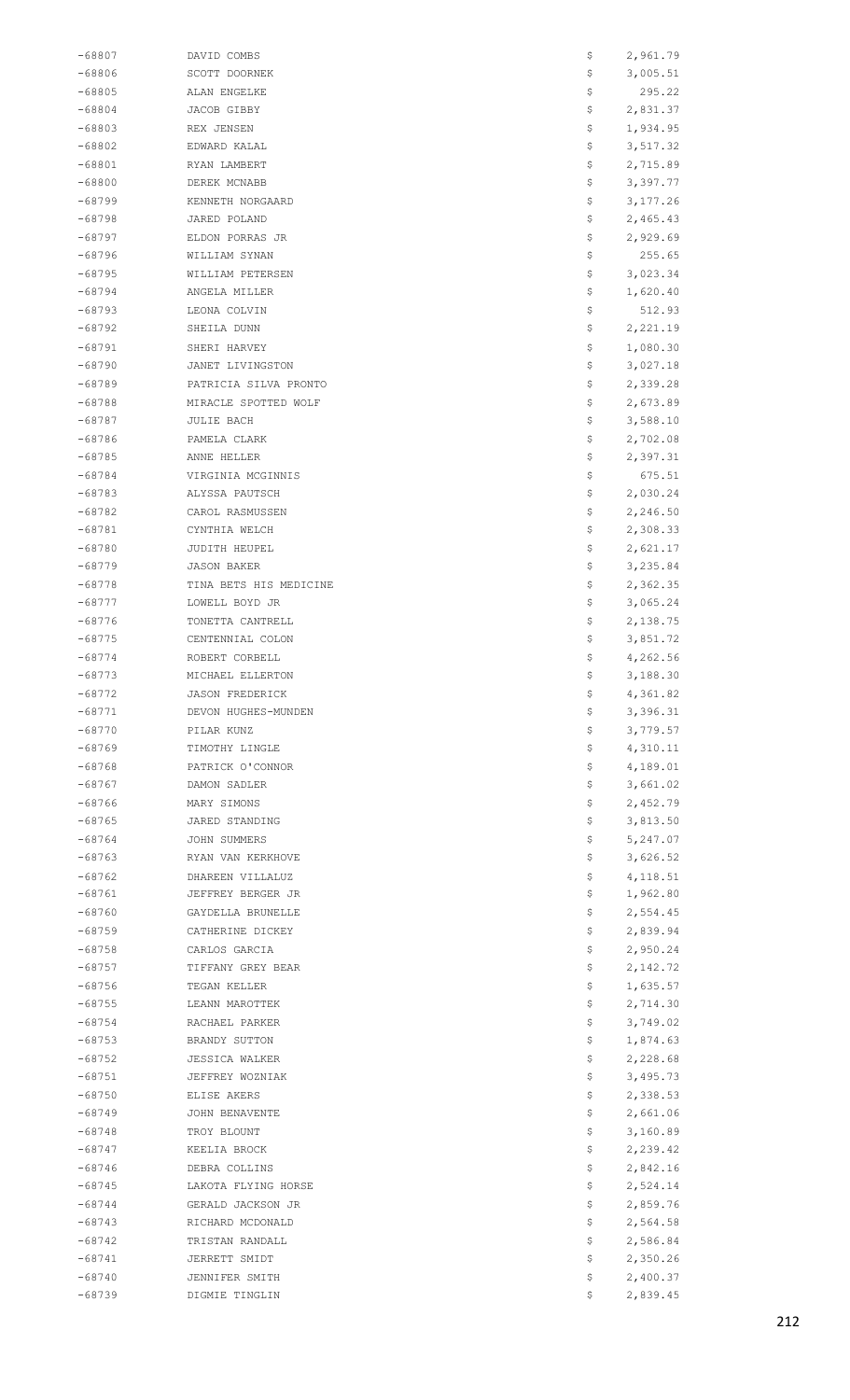| -68807             | DAVID COMBS                      | \$        | 2,961.79             |
|--------------------|----------------------------------|-----------|----------------------|
| $-68806$           | SCOTT DOORNEK                    | \$        | 3,005.51             |
| -68805             | ALAN ENGELKE                     | \$        | 295.22               |
| $-68804$           | JACOB GIBBY                      | \$        | 2,831.37             |
| $-68803$           | REX JENSEN                       | \$.       | 1,934.95             |
| -68802             | EDWARD KALAL                     | \$.       | 3,517.32             |
|                    |                                  |           |                      |
| $-68801$           | RYAN LAMBERT                     | \$        | 2,715.89             |
| $-68800$           | DEREK MCNABB                     | \$        | 3,397.77             |
| $-68799$           | KENNETH NORGAARD                 | \$        | 3,177.26             |
| $-68798$           | JARED POLAND                     | \$        | 2,465.43             |
| $-68797$           | ELDON PORRAS JR                  | \$        | 2,929.69             |
| $-68796$           | WILLIAM SYNAN                    | \$        | 255.65               |
| -68795             | WILLIAM PETERSEN                 | \$        | 3,023.34             |
| -68794             | ANGELA MILLER                    | \$        | 1,620.40             |
| $-68793$           | LEONA COLVIN                     | \$        | 512.93               |
| $-68792$           | SHEILA DUNN                      | \$.       | 2,221.19             |
|                    |                                  |           |                      |
| $-68791$           | SHERI HARVEY                     | \$        | 1,080.30             |
| -68790             | JANET LIVINGSTON                 | \$        | 3,027.18             |
| -68789             | PATRICIA SILVA PRONTO            | \$        | 2,339.28             |
| $-68788$           | MIRACLE SPOTTED WOLF             | Ş.        | 2,673.89             |
| $-68787$           | JULIE BACH                       | \$.       | 3,588.10             |
| $-68786$           | PAMELA CLARK                     | \$        | 2,702.08             |
| -68785             | ANNE HELLER                      | \$        | 2,397.31             |
| -68784             | VIRGINIA MCGINNIS                | \$        | 675.51               |
| $-68783$           | ALYSSA PAUTSCH                   | Ş.        | 2,030.24             |
|                    |                                  |           |                      |
| $-68782$           | CAROL RASMUSSEN                  | \$.       | 2,246.50             |
| $-68781$           | CYNTHIA WELCH                    | \$        | 2,308.33             |
| -68780             | JUDITH HEUPEL                    | \$        | 2,621.17             |
| -68779             | <b>JASON BAKER</b>               | \$        | 3,235.84             |
| $-68778$           | TINA BETS HIS MEDICINE           | Ş.        | 2,362.35             |
| $-68777$           | LOWELL BOYD JR                   | \$.       | 3,065.24             |
| $-68776$           | TONETTA CANTRELL                 | \$        | 2,138.75             |
| $-68775$           | CENTENNIAL COLON                 | \$        | 3,851.72             |
| $-68774$           | ROBERT CORBELL                   | \$        | 4,262.56             |
| $-68773$           | MICHAEL ELLERTON                 | \$        | 3,188.30             |
| $-68772$           | <b>JASON FREDERICK</b>           | \$.       |                      |
|                    |                                  |           | 4,361.82             |
| $-68771$           | DEVON HUGHES-MUNDEN              | \$.       | 3,396.31             |
| $-68770$           | PILAR KUNZ                       | \$        | 3,779.57             |
| -68769             | TIMOTHY LINGLE                   | \$        | 4,310.11             |
| $-68768$           | PATRICK O'CONNOR                 | Ş.        | 4,189.01             |
| $-68767$           | DAMON SADLER                     | Ş.        | 3,661.02             |
| $-68766$           | MARY SIMONS                      | \$.       | 2,452.79             |
| $-68765$           | JARED STANDING                   | \$        | 3,813.50             |
| -68764             | JOHN SUMMERS                     | \$        | 5,247.07             |
| -68763             | RYAN VAN KERKHOVE                | \$        | 3,626.52             |
| $-68762$           |                                  |           |                      |
| $-68761$           |                                  |           |                      |
|                    | DHAREEN VILLALUZ                 | Ş.        | 4,118.51             |
|                    | JEFFREY BERGER JR                | \$.       | 1,962.80             |
| $-68760$           | GAYDELLA BRUNELLE                | \$        | 2,554.45             |
| $-68759$           | CATHERINE DICKEY                 | \$        | 2,839.94             |
| -68758             | CARLOS GARCIA                    | Ş.        | 2,950.24             |
| -68757             | TIFFANY GREY BEAR                | Ş.        | 2,142.72             |
| $-68756$           | TEGAN KELLER                     | Ş.        | 1,635.57             |
| $-68755$           | LEANN MAROTTEK                   | \$.       | 2,714.30             |
| $-68754$           | RACHAEL PARKER                   | \$        | 3,749.02             |
|                    |                                  |           |                      |
| -68753             | BRANDY SUTTON                    | \$        | 1,874.63             |
| -68752             | JESSICA WALKER                   | Ş.        | 2,228.68             |
| $-68751$           | JEFFREY WOZNIAK                  | Ş.        | 3,495.73             |
| $-68750$           | ELISE AKERS                      | \$.       | 2,338.53             |
| -68749             | JOHN BENAVENTE                   | \$        | 2,661.06             |
| -68748             | TROY BLOUNT                      | \$        | 3,160.89             |
| -68747             | KEELIA BROCK                     | Ş.        | 2,239.42             |
| $-68746$           | DEBRA COLLINS                    | Ş.        | 2,842.16             |
| $-68745$           | LAKOTA FLYING HORSE              | Ş.        | 2,524.14             |
| $-68744$           | GERALD JACKSON JR                | \$.       | 2,859.76             |
| $-68743$           | RICHARD MCDONALD                 | Ş.        | 2,564.58             |
| -68742             | TRISTAN RANDALL                  | \$        | 2,586.84             |
| $-68741$           | JERRETT SMIDT                    | Ş.        | 2,350.26             |
|                    |                                  |           |                      |
| $-68740$<br>-68739 | JENNIFER SMITH<br>DIGMIE TINGLIN | \$.<br>\$ | 2,400.37<br>2,839.45 |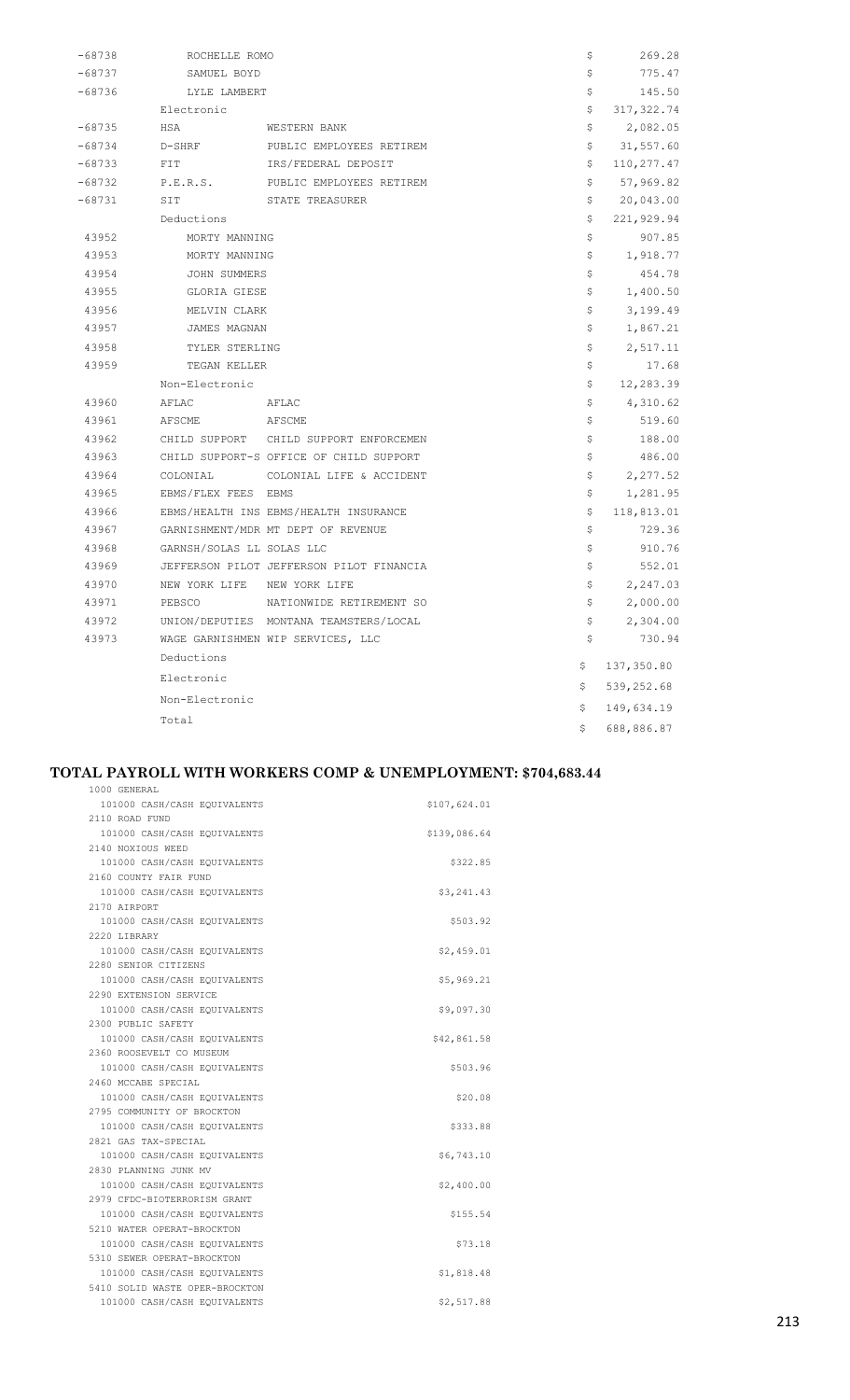| -68738   | ROCHELLE ROMO       |                                          | \$  | 269.28      |
|----------|---------------------|------------------------------------------|-----|-------------|
| $-68737$ | SAMUEL BOYD         |                                          | \$  | 775.47      |
| $-68736$ | LYLE LAMBERT        |                                          | \$  | 145.50      |
|          | Electronic          |                                          | \$  | 317, 322.74 |
| $-68735$ | HSA                 | WESTERN BANK                             | \$  | 2,082.05    |
| $-68734$ | D-SHRF              | PUBLIC EMPLOYEES RETIREM                 | \$  | 31,557.60   |
| $-68733$ | FIT                 | IRS/FEDERAL DEPOSIT                      | \$  | 110,277.47  |
| $-68732$ | P.E.R.S.            | PUBLIC EMPLOYEES RETIREM                 | \$  | 57,969.82   |
| $-68731$ | SIT                 | STATE TREASURER                          | \$  | 20,043.00   |
|          | Deductions          |                                          | \$  | 221,929.94  |
| 43952    | MORTY MANNING       |                                          | \$  | 907.85      |
| 43953    | MORTY MANNING       |                                          | \$  | 1,918.77    |
| 43954    | JOHN SUMMERS        |                                          | \$  | 454.78      |
| 43955    | GLORIA GIESE        |                                          | \$  | 1,400.50    |
| 43956    | MELVIN CLARK        |                                          | \$  | 3,199.49    |
| 43957    | JAMES MAGNAN        |                                          | \$  | 1,867.21    |
| 43958    | TYLER STERLING      |                                          | \$  | 2,517.11    |
| 43959    | TEGAN KELLER        |                                          | \$  | 17.68       |
|          | Non-Electronic      |                                          | \$  | 12,283.39   |
| 43960    | AFLAC               | AFLAC                                    | \$  | 4,310.62    |
| 43961    | AFSCME AFSCME       |                                          | \$  | 519.60      |
| 43962    |                     | CHILD SUPPORT CHILD SUPPORT ENFORCEMEN   | \$  | 188.00      |
| 43963    |                     | CHILD SUPPORT-S OFFICE OF CHILD SUPPORT  | \$  | 486.00      |
| 43964    | COLONIAL            | COLONIAL LIFE & ACCIDENT                 | \$  | 2,277.52    |
| 43965    | EBMS/FLEX FEES EBMS |                                          | \$  | 1,281.95    |
| 43966    |                     | EBMS/HEALTH INS EBMS/HEALTH INSURANCE    | \$  | 118,813.01  |
| 43967    |                     | GARNISHMENT/MDR MT DEPT OF REVENUE       | \$  | 729.36      |
| 43968    |                     | GARNSH/SOLAS LL SOLAS LLC                | \$  | 910.76      |
| 43969    |                     | JEFFERSON PILOT JEFFERSON PILOT FINANCIA | \$  | 552.01      |
| 43970    |                     | NEW YORK LIFE NEW YORK LIFE              | \$  | 2,247.03    |
| 43971    | PEBSCO              | NATIONWIDE RETIREMENT SO                 | \$. | 2,000.00    |
| 43972    |                     | UNION/DEPUTIES MONTANA TEAMSTERS/LOCAL   | \$  | 2,304.00    |
| 43973    |                     | WAGE GARNISHMEN WIP SERVICES, LLC        | \$  | 730.94      |
|          | Deductions          |                                          | \$. | 137,350.80  |
|          | Electronic          |                                          |     |             |
|          | Non-Electronic      |                                          | \$  | 539,252.68  |
|          | Total               |                                          | \$  | 149,634.19  |
|          |                     |                                          | Ŝ.  | 688,886.87  |

# **TOTAL PAYROLL WITH WORKERS COMP & UNEMPLOYMENT: \$704,683.44**

| 1000 GENERAL                   |              |  |
|--------------------------------|--------------|--|
| 101000 CASH/CASH EQUIVALENTS   | \$107,624.01 |  |
| 2110 ROAD FUND                 |              |  |
| 101000 CASH/CASH EQUIVALENTS   | \$139,086.64 |  |
| 2140 NOXIOUS WEED              |              |  |
| 101000 CASH/CASH EQUIVALENTS   | \$322.85     |  |
| 2160 COUNTY FAIR FUND          |              |  |
| 101000 CASH/CASH EQUIVALENTS   | \$3,241.43   |  |
| 2170 AIRPORT                   |              |  |
| 101000 CASH/CASH EQUIVALENTS   | \$503.92     |  |
| 2220 LIBRARY                   |              |  |
| 101000 CASH/CASH EQUIVALENTS   | \$2,459.01   |  |
| 2280 SENIOR CITIZENS           |              |  |
| 101000 CASH/CASH EQUIVALENTS   | \$5,969.21   |  |
| 2290 EXTENSION SERVICE         |              |  |
| 101000 CASH/CASH EQUIVALENTS   | \$9,097.30   |  |
| 2300 PUBLIC SAFETY             |              |  |
| 101000 CASH/CASH EQUIVALENTS   | \$42,861.58  |  |
| 2360 ROOSEVELT CO MUSEUM       |              |  |
| 101000 CASH/CASH EQUIVALENTS   | \$503.96     |  |
| 2460 MCCABE SPECIAL            |              |  |
| 101000 CASH/CASH EQUIVALENTS   | \$20.08      |  |
| 2795 COMMUNITY OF BROCKTON     |              |  |
| 101000 CASH/CASH EOUIVALENTS   | \$333.88     |  |
| 2821 GAS TAX-SPECIAL           |              |  |
| 101000 CASH/CASH EOUIVALENTS   | \$6,743.10   |  |
| 2830 PLANNING JUNK MV          |              |  |
| 101000 CASH/CASH EQUIVALENTS   | \$2,400.00   |  |
| 2979 CFDC-BIOTERRORISM GRANT   |              |  |
| 101000 CASH/CASH EQUIVALENTS   | \$155.54     |  |
| 5210 WATER OPERAT-BROCKTON     |              |  |
| 101000 CASH/CASH EQUIVALENTS   | \$73.18      |  |
| 5310 SEWER OPERAT-BROCKTON     |              |  |
| 101000 CASH/CASH EQUIVALENTS   | \$1,818.48   |  |
| 5410 SOLID WASTE OPER-BROCKTON |              |  |
| 101000 CASH/CASH EOUIVALENTS   | \$2,517.88   |  |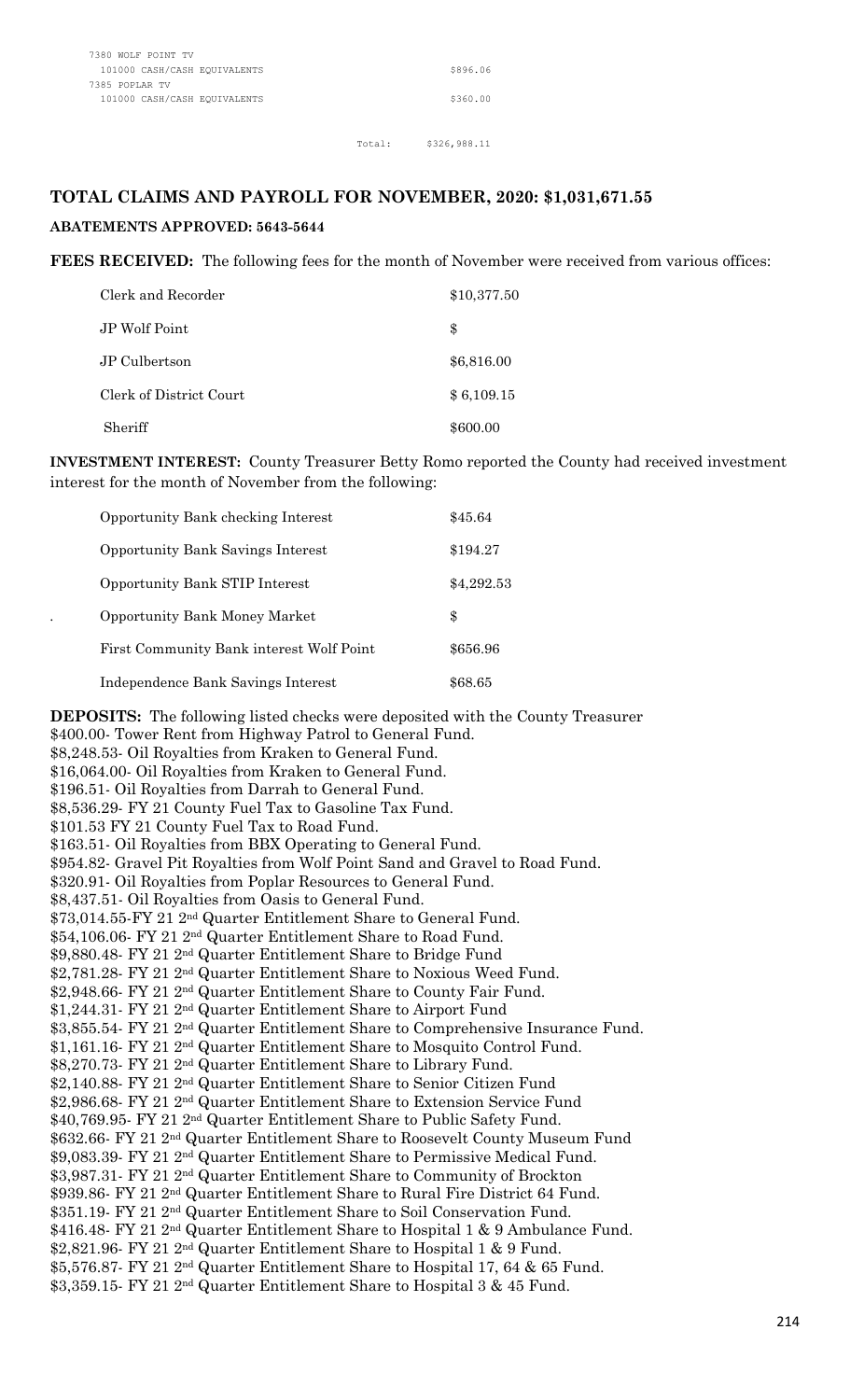#### Total: \$326,988.11

## **TOTAL CLAIMS AND PAYROLL FOR NOVEMBER, 2020: \$1,031,671.55**

#### **ABATEMENTS APPROVED: 5643-5644**

**FEES RECEIVED:** The following fees for the month of November were received from various offices:

| Clerk and Recorder      | \$10,377.50 |
|-------------------------|-------------|
| JP Wolf Point           | \$          |
| JP Culbertson           | \$6,816.00  |
| Clerk of District Court | \$6,109.15  |
| Sheriff                 | \$600.00    |

**INVESTMENT INTEREST:** County Treasurer Betty Romo reported the County had received investment interest for the month of November from the following:

| <b>Opportunity Bank checking Interest</b> | \$45.64    |
|-------------------------------------------|------------|
| <b>Opportunity Bank Savings Interest</b>  | \$194.27   |
| <b>Opportunity Bank STIP Interest</b>     | \$4,292.53 |
| <b>Opportunity Bank Money Market</b>      | \$         |
| First Community Bank interest Wolf Point  | \$656.96   |
| Independence Bank Savings Interest        | \$68.65    |

**DEPOSITS:** The following listed checks were deposited with the County Treasurer \$400.00- Tower Rent from Highway Patrol to General Fund. \$8,248.53- Oil Royalties from Kraken to General Fund. \$16,064.00- Oil Royalties from Kraken to General Fund. \$196.51- Oil Royalties from Darrah to General Fund. \$8,536.29- FY 21 County Fuel Tax to Gasoline Tax Fund. \$101.53 FY 21 County Fuel Tax to Road Fund. \$163.51- Oil Royalties from BBX Operating to General Fund. \$954.82- Gravel Pit Royalties from Wolf Point Sand and Gravel to Road Fund. \$320.91- Oil Royalties from Poplar Resources to General Fund. \$8,437.51- Oil Royalties from Oasis to General Fund. \$73,014.55-FY 21 2nd Quarter Entitlement Share to General Fund. \$54,106.06- FY 21 2nd Quarter Entitlement Share to Road Fund. \$9,880.48- FY 21 2nd Quarter Entitlement Share to Bridge Fund \$2,781.28- FY 21 2nd Quarter Entitlement Share to Noxious Weed Fund. \$2,948.66- FY 21 2nd Quarter Entitlement Share to County Fair Fund. \$1,244.31- FY 21 2nd Quarter Entitlement Share to Airport Fund \$3,855.54- FY 21 2nd Quarter Entitlement Share to Comprehensive Insurance Fund. \$1,161.16- FY 21 2nd Quarter Entitlement Share to Mosquito Control Fund. \$8,270.73- FY 21 2nd Quarter Entitlement Share to Library Fund. \$2,140.88- FY 21 2nd Quarter Entitlement Share to Senior Citizen Fund \$2,986.68- FY 21 2nd Quarter Entitlement Share to Extension Service Fund \$40,769.95- FY 21 2nd Quarter Entitlement Share to Public Safety Fund. \$632.66- FY 21 2nd Quarter Entitlement Share to Roosevelt County Museum Fund \$9,083.39- FY 21 2nd Quarter Entitlement Share to Permissive Medical Fund. \$3,987.31- FY 21 2nd Quarter Entitlement Share to Community of Brockton \$939.86- FY 21 2nd Quarter Entitlement Share to Rural Fire District 64 Fund. \$351.19- FY 21 2nd Quarter Entitlement Share to Soil Conservation Fund. \$416.48- FY 21 2nd Quarter Entitlement Share to Hospital 1 & 9 Ambulance Fund. \$2,821.96- FY 21 2nd Quarter Entitlement Share to Hospital 1 & 9 Fund. \$5,576.87- FY 21 2nd Quarter Entitlement Share to Hospital 17, 64 & 65 Fund. \$3,359.15- FY 21 2nd Quarter Entitlement Share to Hospital 3 & 45 Fund.